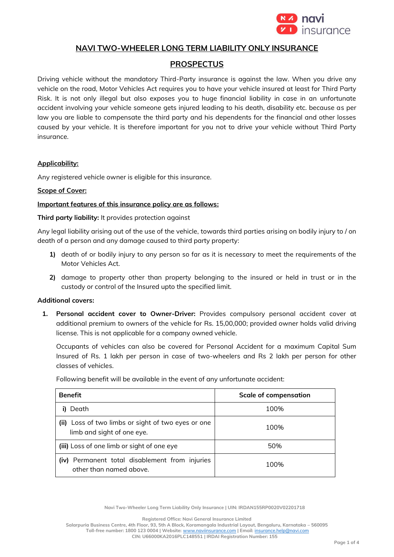

## **NAVI TWO-WHEELER LONG TERM LIABILITY ONLY INSURANCE**

# **PROSPECTUS**

Driving vehicle without the mandatory Third-Party insurance is against the law. When you drive any vehicle on the road, Motor Vehicles Act requires you to have your vehicle insured at least for Third Party Risk. It is not only illegal but also exposes you to huge financial liability in case in an unfortunate accident involving your vehicle someone gets injured leading to his death, disability etc. because as per law you are liable to compensate the third party and his dependents for the financial and other losses caused by your vehicle. It is therefore important for you not to drive your vehicle without Third Party insurance.

### **Applicability:**

Any registered vehicle owner is eligible for this insurance.

### **Scope of Cover:**

### **Important features of this insurance policy are as follows:**

### **Third party liability:** It provides protection against

Any legal liability arising out of the use of the vehicle, towards third parties arising on bodily injury to / on death of a person and any damage caused to third party property:

- **1)** death of or bodily injury to any person so far as it is necessary to meet the requirements of the Motor Vehicles Act.
- **2)** damage to property other than property belonging to the insured or held in trust or in the custody or control of the Insured upto the specified limit.

### **Additional covers:**

**1. Personal accident cover to Owner-Driver:** Provides compulsory personal accident cover at additional premium to owners of the vehicle for Rs. 15,00,000; provided owner holds valid driving license. This is not applicable for a company owned vehicle.

Occupants of vehicles can also be covered for Personal Accident for a maximum Capital Sum Insured of Rs. 1 lakh per person in case of two-wheelers and Rs 2 lakh per person for other classes of vehicles.

| Following benefit will be available in the event of any unfortunate accident: |  |  |
|-------------------------------------------------------------------------------|--|--|
|                                                                               |  |  |

| <b>Benefit</b>                                                                   | <b>Scale of compensation</b> |
|----------------------------------------------------------------------------------|------------------------------|
| Death                                                                            | 100%                         |
| (ii) Loss of two limbs or sight of two eyes or one<br>limb and sight of one eye. | 100%                         |
| (iii) Loss of one limb or sight of one eye                                       | 50%                          |
| (iv) Permanent total disablement from injuries<br>other than named above.        | 100%                         |

**Navi Two-Wheeler Long Term Liability Only Insurance | UIN: IRDAN155RP0020V02201718**

**Registered Office: Navi General Insurance Limited**

**Salarpuria Business Centre, 4th Floor, 93, 5th A Block, Koramangala Industrial Layout, Bengaluru, Karnataka – 560095 Toll-free number: 1800 123 0004 | Website:** [www.naviinsurance.com](http://www.naviinsurance.com/) **| Email:** [insurance.help@navi.com](mailto:insurance.help@navi.com)

**CIN: U66000KA2016PLC148551 | IRDAI Registration Number: 155**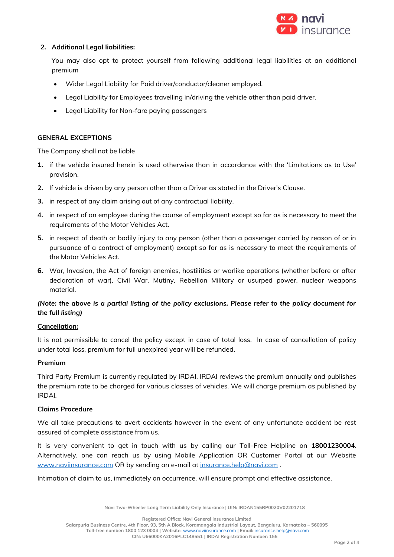

## **2. Additional Legal liabilities:**

You may also opt to protect yourself from following additional legal liabilities at an additional premium

- Wider Legal Liability for Paid driver/conductor/cleaner employed.
- Legal Liability for Employees travelling in/driving the vehicle other than paid driver.
- Legal Liability for Non-fare paying passengers

## **GENERAL EXCEPTIONS**

The Company shall not be liable

- **1.** if the vehicle insured herein is used otherwise than in accordance with the 'Limitations as to Use' provision.
- **2.** If vehicle is driven by any person other than a Driver as stated in the Driver's Clause.
- **3.** in respect of any claim arising out of any contractual liability.
- **4.** in respect of an employee during the course of employment except so far as is necessary to meet the requirements of the Motor Vehicles Act.
- **5.** in respect of death or bodily injury to any person (other than a passenger carried by reason of or in pursuance of a contract of employment) except so far as is necessary to meet the requirements of the Motor Vehicles Act.
- **6.** War, Invasion, the Act of foreign enemies, hostilities or warlike operations (whether before or after declaration of war), Civil War, Mutiny, Rebellion Military or usurped power, nuclear weapons material.

# *(Note: the above is a partial listing of the policy exclusions. Please refer to the policy document for the full listing)*

## **Cancellation:**

It is not permissible to cancel the policy except in case of total loss. In case of cancellation of policy under total loss, premium for full unexpired year will be refunded.

## **Premium**

Third Party Premium is currently regulated by IRDAI. IRDAI reviews the premium annually and publishes the premium rate to be charged for various classes of vehicles. We will charge premium as published by IRDAI.

## **Claims Procedure**

We all take precautions to avert accidents however in the event of any unfortunate accident be rest assured of complete assistance from us.

It is very convenient to get in touch with us by calling our Toll-Free Helpline on **18001230004**. Alternatively, one can reach us by using Mobile Application OR Customer Portal at our Website [www.naviinsurance.com](http://www.naviinsurance.com/) OR by sending an e-mail at [insurance.help@navi.com](mailto:insurance.help@navi.com) .

Intimation of claim to us, immediately on occurrence, will ensure prompt and effective assistance.

**Navi Two-Wheeler Long Term Liability Only Insurance | UIN: IRDAN155RP0020V02201718**

**Registered Office: Navi General Insurance Limited**

**Salarpuria Business Centre, 4th Floor, 93, 5th A Block, Koramangala Industrial Layout, Bengaluru, Karnataka – 560095**

**Toll-free number: 1800 123 0004 | Website:** [www.naviinsurance.com](http://www.naviinsurance.com/) **| Email:** [insurance.help@navi.com](mailto:insurance.help@navi.com)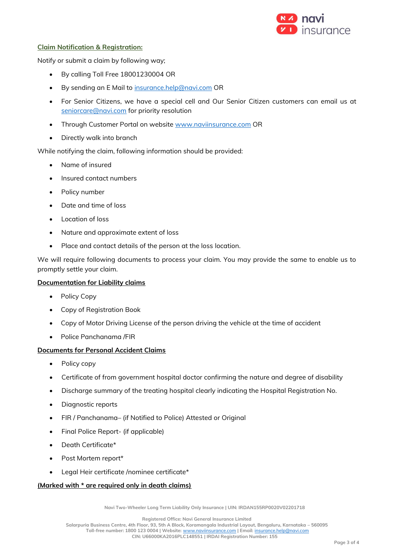

### **Claim Notification & Registration:**

Notify or submit a claim by following way;

- By calling Toll Free 18001230004 OR
- By sending an E Mail to [insurance.help@navi.com](mailto:insurance.help@navi.com) OR
- For Senior Citizens, we have a special cell and Our Senior Citizen customers can email us at [seniorcare@navi.com](mailto:seniorcare@navi.com) for priority resolution
- Through Customer Portal on website [www.naviinsurance.com](http://www.naviinsurance.com/) OR
- Directly walk into branch

While notifying the claim, following information should be provided:

- Name of insured
- Insured contact numbers
- Policy number
- Date and time of loss
- Location of loss
- Nature and approximate extent of loss
- Place and contact details of the person at the loss location.

We will require following documents to process your claim. You may provide the same to enable us to promptly settle your claim.

#### **Documentation for Liability claims**

- Policy Copy
- Copy of Registration Book
- Copy of Motor Driving License of the person driving the vehicle at the time of accident
- Police Panchanama /FIR

## **Documents for Personal Accident Claims**

- Policy copy
- Certificate of from government hospital doctor confirming the nature and degree of disability
- Discharge summary of the treating hospital clearly indicating the Hospital Registration No.
- Diagnostic reports
- FIR / Panchanama– (if Notified to Police) Attested or Original
- Final Police Report- (if applicable)
- Death Certificate\*
- Post Mortem report\*
- Legal Heir certificate /nominee certificate\*

## **(Marked with \* are required only in death claims)**

**Navi Two-Wheeler Long Term Liability Only Insurance | UIN: IRDAN155RP0020V02201718**

**Registered Office: Navi General Insurance Limited**

**Salarpuria Business Centre, 4th Floor, 93, 5th A Block, Koramangala Industrial Layout, Bengaluru, Karnataka – 560095 Toll-free number: 1800 123 0004 | Website:** [www.naviinsurance.com](http://www.naviinsurance.com/) **| Email:** [insurance.help@navi.com](mailto:insurance.help@navi.com)

**CIN: U66000KA2016PLC148551 | IRDAI Registration Number: 155**